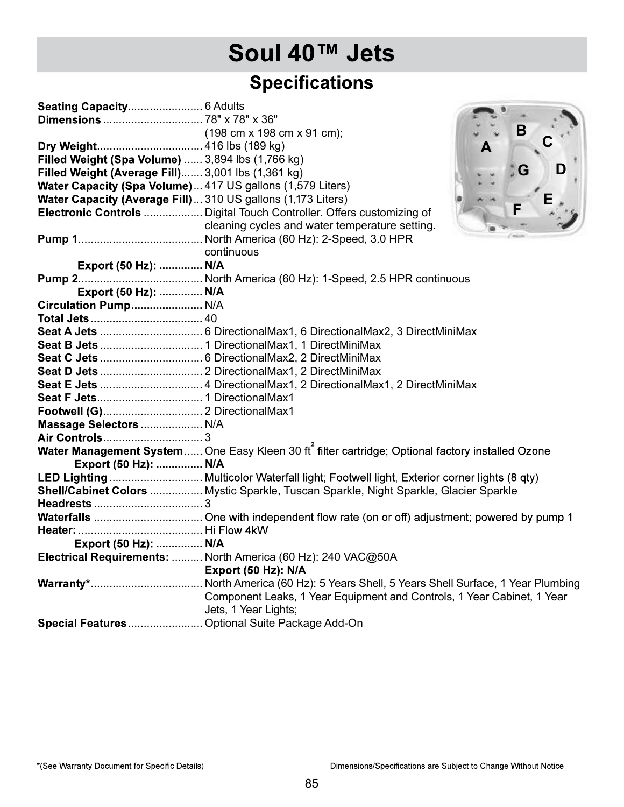| <b>Specifications</b><br>B<br>$(198 \text{ cm} \times 198 \text{ cm} \times 91 \text{ cm})$ ;<br>Filled Weight (Spa Volume)  3,894 lbs (1,766 kg)<br>D<br>G<br>Filled Weight (Average Fill) 3,001 lbs (1,361 kg)<br>Water Capacity (Spa Volume) 417 US gallons (1,579 Liters)<br>Water Capacity (Average Fill)  310 US gallons (1,173 Liters)<br>Electronic Controls  Digital Touch Controller. Offers customizing of<br>cleaning cycles and water temperature setting.<br>continuous<br>Export (50 Hz):  N/A<br>Export (50 Hz):  N/A<br>Circulation Pump N/A<br>Massage Selectors  N/A<br>Water Management System  One Easy Kleen 30 ft <sup>2</sup> filter cartridge; Optional factory installed Ozone<br>Export (50 Hz):  N/A<br>LED Lighting  Multicolor Waterfall light; Footwell light, Exterior corner lights (8 qty)<br>Shell/Cabinet Colors  Mystic Sparkle, Tuscan Sparkle, Night Sparkle, Glacier Sparkle<br>Export (50 Hz):  N/A<br>Electrical Requirements:  North America (60 Hz): 240 VAC@50A<br>Export (50 Hz): N/A<br>Component Leaks, 1 Year Equipment and Controls, 1 Year Cabinet, 1 Year<br>Jets, 1 Year Lights;<br>Special Features  Optional Suite Package Add-On | Soul 40™ Jets |  |
|------------------------------------------------------------------------------------------------------------------------------------------------------------------------------------------------------------------------------------------------------------------------------------------------------------------------------------------------------------------------------------------------------------------------------------------------------------------------------------------------------------------------------------------------------------------------------------------------------------------------------------------------------------------------------------------------------------------------------------------------------------------------------------------------------------------------------------------------------------------------------------------------------------------------------------------------------------------------------------------------------------------------------------------------------------------------------------------------------------------------------------------------------------------------------------------|---------------|--|
|                                                                                                                                                                                                                                                                                                                                                                                                                                                                                                                                                                                                                                                                                                                                                                                                                                                                                                                                                                                                                                                                                                                                                                                          |               |  |
|                                                                                                                                                                                                                                                                                                                                                                                                                                                                                                                                                                                                                                                                                                                                                                                                                                                                                                                                                                                                                                                                                                                                                                                          |               |  |
|                                                                                                                                                                                                                                                                                                                                                                                                                                                                                                                                                                                                                                                                                                                                                                                                                                                                                                                                                                                                                                                                                                                                                                                          |               |  |
|                                                                                                                                                                                                                                                                                                                                                                                                                                                                                                                                                                                                                                                                                                                                                                                                                                                                                                                                                                                                                                                                                                                                                                                          |               |  |
|                                                                                                                                                                                                                                                                                                                                                                                                                                                                                                                                                                                                                                                                                                                                                                                                                                                                                                                                                                                                                                                                                                                                                                                          |               |  |
|                                                                                                                                                                                                                                                                                                                                                                                                                                                                                                                                                                                                                                                                                                                                                                                                                                                                                                                                                                                                                                                                                                                                                                                          |               |  |
|                                                                                                                                                                                                                                                                                                                                                                                                                                                                                                                                                                                                                                                                                                                                                                                                                                                                                                                                                                                                                                                                                                                                                                                          |               |  |
|                                                                                                                                                                                                                                                                                                                                                                                                                                                                                                                                                                                                                                                                                                                                                                                                                                                                                                                                                                                                                                                                                                                                                                                          |               |  |
|                                                                                                                                                                                                                                                                                                                                                                                                                                                                                                                                                                                                                                                                                                                                                                                                                                                                                                                                                                                                                                                                                                                                                                                          |               |  |
|                                                                                                                                                                                                                                                                                                                                                                                                                                                                                                                                                                                                                                                                                                                                                                                                                                                                                                                                                                                                                                                                                                                                                                                          |               |  |
|                                                                                                                                                                                                                                                                                                                                                                                                                                                                                                                                                                                                                                                                                                                                                                                                                                                                                                                                                                                                                                                                                                                                                                                          |               |  |
|                                                                                                                                                                                                                                                                                                                                                                                                                                                                                                                                                                                                                                                                                                                                                                                                                                                                                                                                                                                                                                                                                                                                                                                          |               |  |
|                                                                                                                                                                                                                                                                                                                                                                                                                                                                                                                                                                                                                                                                                                                                                                                                                                                                                                                                                                                                                                                                                                                                                                                          |               |  |
|                                                                                                                                                                                                                                                                                                                                                                                                                                                                                                                                                                                                                                                                                                                                                                                                                                                                                                                                                                                                                                                                                                                                                                                          |               |  |
|                                                                                                                                                                                                                                                                                                                                                                                                                                                                                                                                                                                                                                                                                                                                                                                                                                                                                                                                                                                                                                                                                                                                                                                          |               |  |
|                                                                                                                                                                                                                                                                                                                                                                                                                                                                                                                                                                                                                                                                                                                                                                                                                                                                                                                                                                                                                                                                                                                                                                                          |               |  |
|                                                                                                                                                                                                                                                                                                                                                                                                                                                                                                                                                                                                                                                                                                                                                                                                                                                                                                                                                                                                                                                                                                                                                                                          |               |  |
|                                                                                                                                                                                                                                                                                                                                                                                                                                                                                                                                                                                                                                                                                                                                                                                                                                                                                                                                                                                                                                                                                                                                                                                          |               |  |
|                                                                                                                                                                                                                                                                                                                                                                                                                                                                                                                                                                                                                                                                                                                                                                                                                                                                                                                                                                                                                                                                                                                                                                                          |               |  |
|                                                                                                                                                                                                                                                                                                                                                                                                                                                                                                                                                                                                                                                                                                                                                                                                                                                                                                                                                                                                                                                                                                                                                                                          |               |  |
|                                                                                                                                                                                                                                                                                                                                                                                                                                                                                                                                                                                                                                                                                                                                                                                                                                                                                                                                                                                                                                                                                                                                                                                          |               |  |
|                                                                                                                                                                                                                                                                                                                                                                                                                                                                                                                                                                                                                                                                                                                                                                                                                                                                                                                                                                                                                                                                                                                                                                                          |               |  |
|                                                                                                                                                                                                                                                                                                                                                                                                                                                                                                                                                                                                                                                                                                                                                                                                                                                                                                                                                                                                                                                                                                                                                                                          |               |  |
|                                                                                                                                                                                                                                                                                                                                                                                                                                                                                                                                                                                                                                                                                                                                                                                                                                                                                                                                                                                                                                                                                                                                                                                          |               |  |
|                                                                                                                                                                                                                                                                                                                                                                                                                                                                                                                                                                                                                                                                                                                                                                                                                                                                                                                                                                                                                                                                                                                                                                                          |               |  |
|                                                                                                                                                                                                                                                                                                                                                                                                                                                                                                                                                                                                                                                                                                                                                                                                                                                                                                                                                                                                                                                                                                                                                                                          |               |  |
|                                                                                                                                                                                                                                                                                                                                                                                                                                                                                                                                                                                                                                                                                                                                                                                                                                                                                                                                                                                                                                                                                                                                                                                          |               |  |
|                                                                                                                                                                                                                                                                                                                                                                                                                                                                                                                                                                                                                                                                                                                                                                                                                                                                                                                                                                                                                                                                                                                                                                                          |               |  |
|                                                                                                                                                                                                                                                                                                                                                                                                                                                                                                                                                                                                                                                                                                                                                                                                                                                                                                                                                                                                                                                                                                                                                                                          |               |  |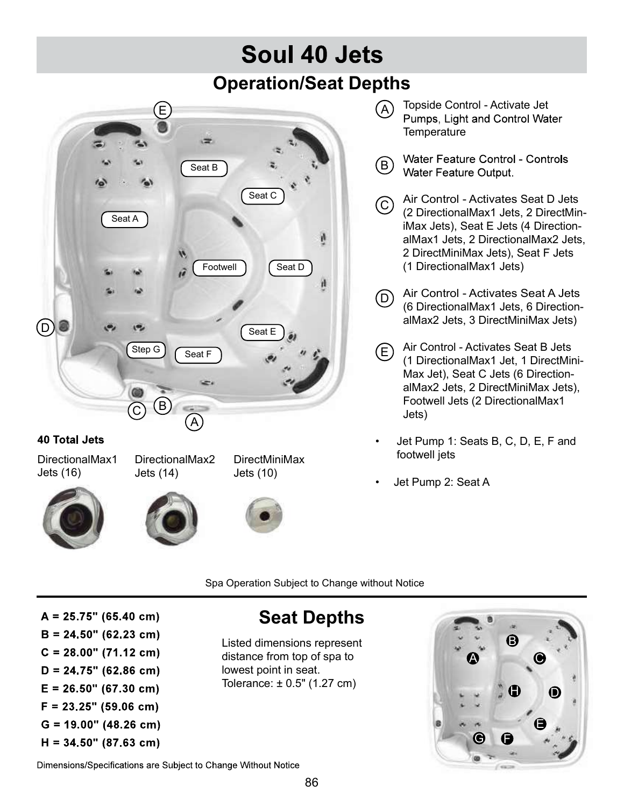## Soul 40 Jets Operation/Seat Depths



### **40 Total Jets**

DirectionalMax1 DirectionalMax2 Jets (16)









DirectMiniMax

- **Temperature**
- **B** Water Feature Control Controls<br>Water Feature Output.
- Seat C  $\bigcap$  Air Control Activates Seat D Jets  $\bigcirc$  All Control - Activates Seat D Jets<br>(2 DirectionalMax1 Jets, 2 DirectMiniMax Jets), Seat E Jets (4 DirectionalMax1 Jets, 2 DirectionalMax2 Jets, 2 DirectMiniMax Jets), Seat F Jets Seat D ) (1 DirectionalMax1 Jets)
	- (6 DirectionalMax1 Jets, 6 DirectionalMax2 Jets, 3 DirectMiniMax Jets) (D) Air Control - Activates Seat A Jets
	- Air Control Activates Seat B Jets (1 DirectionalMax1 Jet, 1 DirectMini-Max Jet), Seat C Jets (6 DirectionalMax2 Jets, 2 DirectMiniMax Jets), Footwell Jets (2 DirectionalMax1 Jets)  $(E)$
	- Jet Pump 1: Seats B, C, D, E, F and footwell jets
	- Jet Pump 2: Seat A

Spa Operation Subject to Change without Notice

 $A = 25.75$ " (65.40 cm)  $B = 24.50$ " (62.23 cm)  $C = 28.00$ " (71.12 cm)  $D = 24.75$ " (62.86 cm)  $E = 26.50$ " (67.30 cm)  $F = 23.25$ " (59.06 cm)  $G = 19.00$ " (48.26 cm)  $H = 34.50$ " (87.63 cm)

### Seat Depths

Listed dimensions represent distance from top of spa to lowest point in seat.



Dimensions/Specifications are Subject to Change Without Notice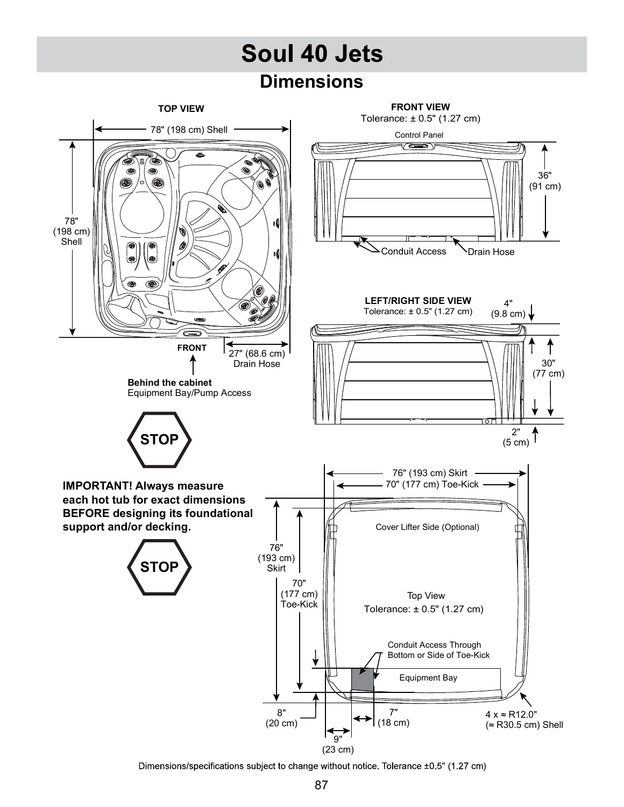# Soul 40 Jets

### **Dimensions**



Dimensions/specifications subject to change without notice. Tolerance ±0.5" (1.27 cm)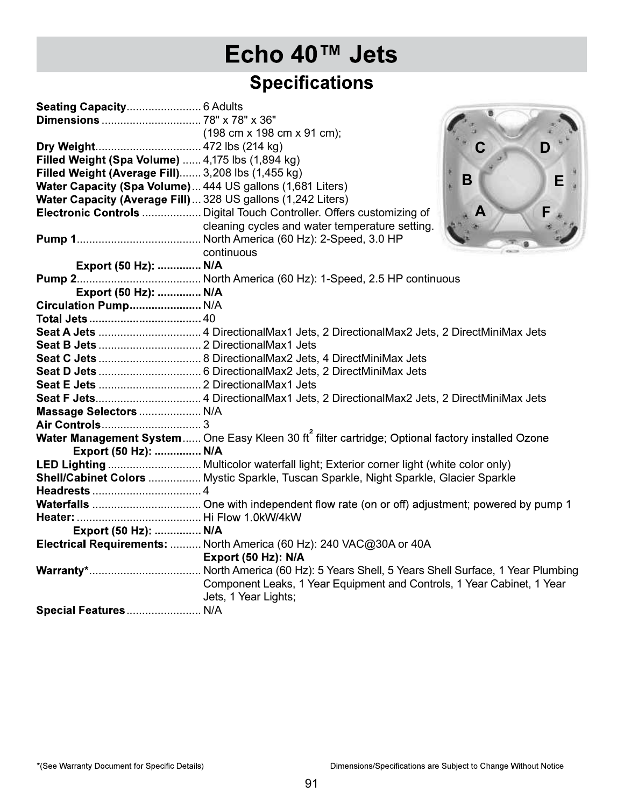| <b>Specifications</b><br>$(198 \text{ cm} \times 198 \text{ cm} \times 91 \text{ cm})$ ;<br>D<br>Filled Weight (Spa Volume)  4,175 lbs (1,894 kg)<br>Filled Weight (Average Fill) 3,208 lbs (1,455 kg)<br>B<br>E<br>Water Capacity (Spa Volume) 444 US gallons (1,681 Liters)<br>Water Capacity (Average Fill)  328 US gallons (1,242 Liters)<br>Electronic Controls  Digital Touch Controller. Offers customizing of<br>cleaning cycles and water temperature setting.<br>continuous<br>Export (50 Hz):  N/A<br>Export (50 Hz):  N/A<br>Circulation Pump N/A<br>Massage Selectors  N/A<br>Water Management System  One Easy Kleen 30 ft filter cartridge; Optional factory installed Ozone<br>Export (50 Hz):  N/A<br>LED Lighting  Multicolor waterfall light; Exterior corner light (white color only)<br>Shell/Cabinet Colors  Mystic Sparkle, Tuscan Sparkle, Night Sparkle, Glacier Sparkle<br>Export (50 Hz):  N/A<br>Electrical Requirements:  North America (60 Hz): 240 VAC@30A or 40A<br>Export (50 Hz): N/A<br>Component Leaks, 1 Year Equipment and Controls, 1 Year Cabinet, 1 Year | Echo 40™ Jets        |
|---------------------------------------------------------------------------------------------------------------------------------------------------------------------------------------------------------------------------------------------------------------------------------------------------------------------------------------------------------------------------------------------------------------------------------------------------------------------------------------------------------------------------------------------------------------------------------------------------------------------------------------------------------------------------------------------------------------------------------------------------------------------------------------------------------------------------------------------------------------------------------------------------------------------------------------------------------------------------------------------------------------------------------------------------------------------------------------------------|----------------------|
|                                                                                                                                                                                                                                                                                                                                                                                                                                                                                                                                                                                                                                                                                                                                                                                                                                                                                                                                                                                                                                                                                                   |                      |
|                                                                                                                                                                                                                                                                                                                                                                                                                                                                                                                                                                                                                                                                                                                                                                                                                                                                                                                                                                                                                                                                                                   |                      |
|                                                                                                                                                                                                                                                                                                                                                                                                                                                                                                                                                                                                                                                                                                                                                                                                                                                                                                                                                                                                                                                                                                   |                      |
|                                                                                                                                                                                                                                                                                                                                                                                                                                                                                                                                                                                                                                                                                                                                                                                                                                                                                                                                                                                                                                                                                                   |                      |
|                                                                                                                                                                                                                                                                                                                                                                                                                                                                                                                                                                                                                                                                                                                                                                                                                                                                                                                                                                                                                                                                                                   |                      |
|                                                                                                                                                                                                                                                                                                                                                                                                                                                                                                                                                                                                                                                                                                                                                                                                                                                                                                                                                                                                                                                                                                   |                      |
|                                                                                                                                                                                                                                                                                                                                                                                                                                                                                                                                                                                                                                                                                                                                                                                                                                                                                                                                                                                                                                                                                                   |                      |
|                                                                                                                                                                                                                                                                                                                                                                                                                                                                                                                                                                                                                                                                                                                                                                                                                                                                                                                                                                                                                                                                                                   |                      |
|                                                                                                                                                                                                                                                                                                                                                                                                                                                                                                                                                                                                                                                                                                                                                                                                                                                                                                                                                                                                                                                                                                   |                      |
|                                                                                                                                                                                                                                                                                                                                                                                                                                                                                                                                                                                                                                                                                                                                                                                                                                                                                                                                                                                                                                                                                                   |                      |
|                                                                                                                                                                                                                                                                                                                                                                                                                                                                                                                                                                                                                                                                                                                                                                                                                                                                                                                                                                                                                                                                                                   |                      |
|                                                                                                                                                                                                                                                                                                                                                                                                                                                                                                                                                                                                                                                                                                                                                                                                                                                                                                                                                                                                                                                                                                   |                      |
|                                                                                                                                                                                                                                                                                                                                                                                                                                                                                                                                                                                                                                                                                                                                                                                                                                                                                                                                                                                                                                                                                                   |                      |
|                                                                                                                                                                                                                                                                                                                                                                                                                                                                                                                                                                                                                                                                                                                                                                                                                                                                                                                                                                                                                                                                                                   |                      |
|                                                                                                                                                                                                                                                                                                                                                                                                                                                                                                                                                                                                                                                                                                                                                                                                                                                                                                                                                                                                                                                                                                   |                      |
|                                                                                                                                                                                                                                                                                                                                                                                                                                                                                                                                                                                                                                                                                                                                                                                                                                                                                                                                                                                                                                                                                                   |                      |
|                                                                                                                                                                                                                                                                                                                                                                                                                                                                                                                                                                                                                                                                                                                                                                                                                                                                                                                                                                                                                                                                                                   |                      |
|                                                                                                                                                                                                                                                                                                                                                                                                                                                                                                                                                                                                                                                                                                                                                                                                                                                                                                                                                                                                                                                                                                   |                      |
|                                                                                                                                                                                                                                                                                                                                                                                                                                                                                                                                                                                                                                                                                                                                                                                                                                                                                                                                                                                                                                                                                                   |                      |
|                                                                                                                                                                                                                                                                                                                                                                                                                                                                                                                                                                                                                                                                                                                                                                                                                                                                                                                                                                                                                                                                                                   |                      |
|                                                                                                                                                                                                                                                                                                                                                                                                                                                                                                                                                                                                                                                                                                                                                                                                                                                                                                                                                                                                                                                                                                   |                      |
|                                                                                                                                                                                                                                                                                                                                                                                                                                                                                                                                                                                                                                                                                                                                                                                                                                                                                                                                                                                                                                                                                                   |                      |
|                                                                                                                                                                                                                                                                                                                                                                                                                                                                                                                                                                                                                                                                                                                                                                                                                                                                                                                                                                                                                                                                                                   |                      |
|                                                                                                                                                                                                                                                                                                                                                                                                                                                                                                                                                                                                                                                                                                                                                                                                                                                                                                                                                                                                                                                                                                   |                      |
|                                                                                                                                                                                                                                                                                                                                                                                                                                                                                                                                                                                                                                                                                                                                                                                                                                                                                                                                                                                                                                                                                                   |                      |
|                                                                                                                                                                                                                                                                                                                                                                                                                                                                                                                                                                                                                                                                                                                                                                                                                                                                                                                                                                                                                                                                                                   |                      |
|                                                                                                                                                                                                                                                                                                                                                                                                                                                                                                                                                                                                                                                                                                                                                                                                                                                                                                                                                                                                                                                                                                   |                      |
|                                                                                                                                                                                                                                                                                                                                                                                                                                                                                                                                                                                                                                                                                                                                                                                                                                                                                                                                                                                                                                                                                                   |                      |
|                                                                                                                                                                                                                                                                                                                                                                                                                                                                                                                                                                                                                                                                                                                                                                                                                                                                                                                                                                                                                                                                                                   |                      |
|                                                                                                                                                                                                                                                                                                                                                                                                                                                                                                                                                                                                                                                                                                                                                                                                                                                                                                                                                                                                                                                                                                   |                      |
|                                                                                                                                                                                                                                                                                                                                                                                                                                                                                                                                                                                                                                                                                                                                                                                                                                                                                                                                                                                                                                                                                                   |                      |
|                                                                                                                                                                                                                                                                                                                                                                                                                                                                                                                                                                                                                                                                                                                                                                                                                                                                                                                                                                                                                                                                                                   |                      |
|                                                                                                                                                                                                                                                                                                                                                                                                                                                                                                                                                                                                                                                                                                                                                                                                                                                                                                                                                                                                                                                                                                   |                      |
|                                                                                                                                                                                                                                                                                                                                                                                                                                                                                                                                                                                                                                                                                                                                                                                                                                                                                                                                                                                                                                                                                                   |                      |
|                                                                                                                                                                                                                                                                                                                                                                                                                                                                                                                                                                                                                                                                                                                                                                                                                                                                                                                                                                                                                                                                                                   |                      |
|                                                                                                                                                                                                                                                                                                                                                                                                                                                                                                                                                                                                                                                                                                                                                                                                                                                                                                                                                                                                                                                                                                   |                      |
|                                                                                                                                                                                                                                                                                                                                                                                                                                                                                                                                                                                                                                                                                                                                                                                                                                                                                                                                                                                                                                                                                                   |                      |
|                                                                                                                                                                                                                                                                                                                                                                                                                                                                                                                                                                                                                                                                                                                                                                                                                                                                                                                                                                                                                                                                                                   | Jets, 1 Year Lights; |
| Special Features N/A                                                                                                                                                                                                                                                                                                                                                                                                                                                                                                                                                                                                                                                                                                                                                                                                                                                                                                                                                                                                                                                                              |                      |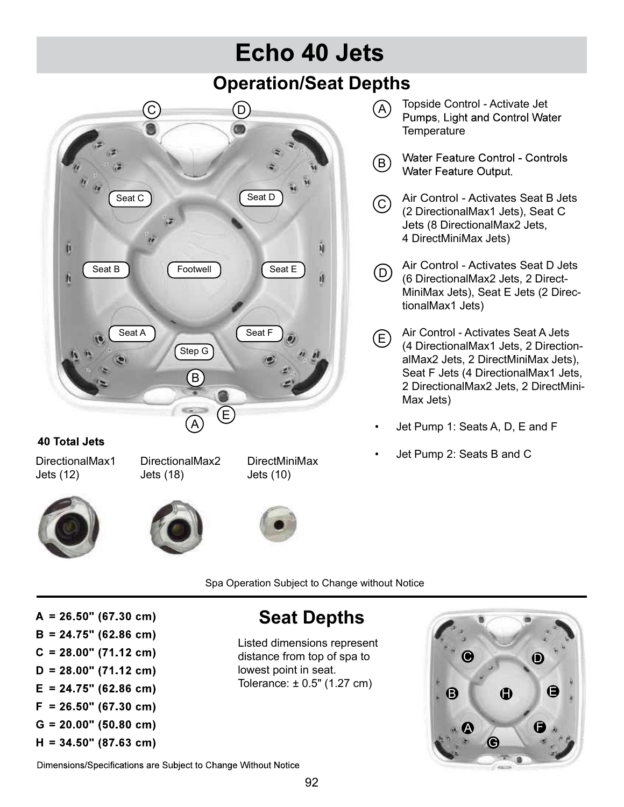## Echo 40 Jets Operation/Seat Depths



- Topside Control Activate Jet **Temperature** D) (A) TOpside Control - Activate Jet<br>
Duman Light and Control Motor
	- <sup>2</sup> Water Feature Control Controls<br>Water Feature Output.
	- C) All Contion Activates Seat B Jets<br>(2 DirectionalMax1 Jets), Seat C Jets (8 DirectionalMax2 Jets, 4 DirectMiniMax Jets)
	- $\overline{\text{Seat E}}$   $\cap$  Air Control Activates Seat D Jets D) (6 DirectionalMax2 Jets, 2 Direct-MiniMax Jets), Seat E Jets (2 DirectionalMax1 Jets)
	- Seat F and Seat F and Activates Seat A Jets (4 DirectionalMax1 Jets, 2 DirectionalMax2 Jets, 2 DirectMiniMax Jets), Seat F Jets (4 DirectionalMax1 Jets, 2 DirectionalMax2 Jets, 2 DirectMini-Max Jets) • Vater Feature Output.<br>
	Vater Feature Output.<br>
	C air Control - Activates Seat B Jets<br>
	(2 DirectionalMax1 Jets), Seat C<br>
	Jets (8 DirectionalMax2 Jets,<br>
	4 DirectMiniMax Jets)<br>
	(6 DirectionalMax2 Jets, 2 Direct-<br>
	MiniMax J C Air Control - Activates Seat B Jets<br>
	(2 DirectionalMax1 Jets), Seat C<br>
	Jets (8 DirectionalMax2 Jets,<br>
	4 DirectMiniMax Jets)<br>
	(6 DirectionalMax2 Jets, 2 Direct-<br>
	MiniMax Jets), Seat E Jets (2 DirectionalMax1 Jets)<br>
	E Air E
		-
	- DirectMiniMax Jet Pump 2: Seats B and C

Jets (12) Jets (18)







Jets (10)

Spa Operation Subject to Change without Notice

 $A = 26.50$ " (67.30 cm)  $B = 24.75$ " (62.86 cm)  $C = 28.00$ " (71.12 cm)  $D = 28.00$ " (71.12 cm)  $E = 24.75$ " (62.86 cm)  $F = 26.50$ " (67.30 cm)  $G = 20.00" (50.80 cm)$  $H = 34.50" (87.63 cm)$ 

## Seat Depths

Listed dimensions represent distance from top of spa to **the set of the set of set of spa to** lowest point in seat.



Dimensions/Specifications are Subject to Change Without Notice